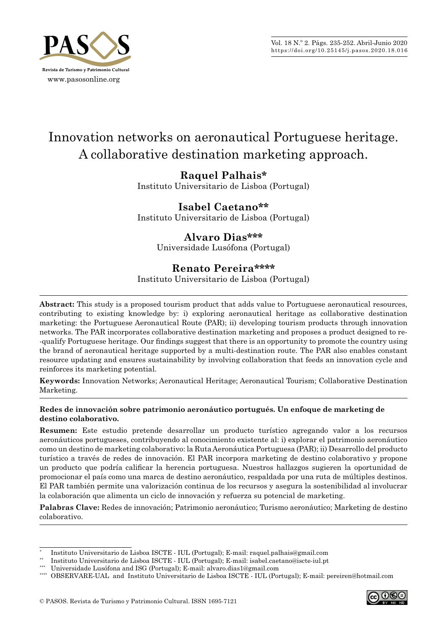



# Innovation networks on aeronautical Portuguese heritage. A collaborative destination marketing approach.

# **Raquel Palhais\***

Instituto Universitario de Lisboa (Portugal)

**Isabel Caetano\*\*** Instituto Universitario de Lisboa (Portugal)

## **Alvaro Dias\*\*\***

Universidade Lusófona (Portugal)

# **Renato Pereira\*\*\*\***

Instituto Universitario de Lisboa (Portugal)

**Abstract:** This study is a proposed tourism product that adds value to Portuguese aeronautical resources, contributing to existing knowledge by: i) exploring aeronautical heritage as collaborative destination marketing: the Portuguese Aeronautical Route (PAR); ii) developing tourism products through innovation networks. The PAR incorporates collaborative destination marketing and proposes a product designed to re‑ ‑qualify Portuguese heritage. Our findings suggest that there is an opportunity to promote the country using the brand of aeronautical heritage supported by a multi‑destination route. The PAR also enables constant resource updating and ensures sustainability by involving collaboration that feeds an innovation cycle and reinforces its marketing potential.

**Keywords:** Innovation Networks; Aeronautical Heritage; Aeronautical Tourism; Collaborative Destination Marketing.

## **Redes de innovación sobre patrimonio aeronáutico portugués. Un enfoque de marketing de destino colaborativo.**

**Resumen:** Este estudio pretende desarrollar un producto turístico agregando valor a los recursos aeronáuticos portugueses, contribuyendo al conocimiento existente al: i) explorar el patrimonio aeronáutico como un destino de marketing colaborativo: la Ruta Aeronáutica Portuguesa (PAR); ii) Desarrollo del producto turístico a través de redes de innovación. El PAR incorpora marketing de destino colaborativo y propone un producto que podría calificar la herencia portuguesa. Nuestros hallazgos sugieren la oportunidad de promocionar el país como una marca de destino aeronáutico, respaldada por una ruta de múltiples destinos. El PAR también permite una valorización continua de los recursos y asegura la sostenibilidad al involucrar la colaboración que alimenta un ciclo de innovación y refuerza su potencial de marketing.

**Palabras Clave:** Redes de innovación; Patrimonio aeronáutico; Turismo aeronáutico; Marketing de destino colaborativo.

<sup>\*</sup> Instituto Universitario de Lisboa ISCTE - IUL (Portugal); E ‑mail: raquel.palhais@gmail.com

Instituto Universitario de Lisboa ISCTE - IUL (Portugal); E-mail: isabel.caetano@iscte-iul.pt

Universidade Lusófona and ISG (Portugal); E-mail: alvaro.dias1@gmail.com

<sup>\*\*\*\*</sup> OBSERVARE-UAL and Instituto Universitario de Lisboa ISCTE - IUL (Portugal); E-mail: pereiren@hotmail.com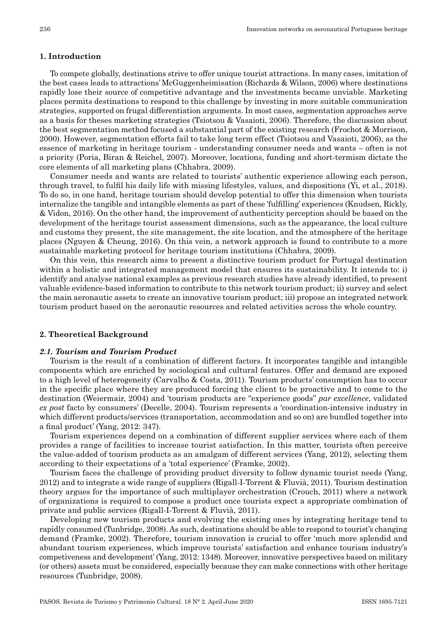## **1. Introduction**

To compete globally, destinations strive to offer unique tourist attractions. In many cases, imitation of the best cases leads to attractions' McGuggenheimisation (Richards & Wilson, 2006) where destinations rapidly lose their source of competitive advantage and the investments became unviable. Marketing places permits destinations to respond to this challenge by investing in more suitable communication strategies, supported on frugal differentiation arguments. In most cases, segmentation approaches serve as a basis for theses marketing strategies (Tsiotsou & Vasaioti, 2006). Therefore, the discussion about the best segmentation method focused a substantial part of the existing research (Frochot & Morrison, 2000). However, segmentation efforts fail to take long term effect (Tsiotsou and Vasaioti, 2006), as the essence of marketing in heritage tourism ‑ understanding consumer needs and wants – often is not a priority (Poria, Biran & Reichel, 2007). Moreover, locations, funding and short‑termism dictate the core elements of all marketing plans (Chhabra, 2009).

Consumer needs and wants are related to tourists' authentic experience allowing each person, through travel, to fulfil his daily life with missing lifestyles, values, and dispositions (Yi, et al., 2018). To do so, in one hand, heritage tourism should develop potential to offer this dimension when tourists internalize the tangible and intangible elements as part of these 'fulfilling' experiences (Knudsen, Rickly, & Vidon, 2016). On the other hand, the improvement of authenticity perception should be based on the development of the heritage tourist assessment dimensions, such as the appearance, the local culture and customs they present, the site management, the site location, and the atmosphere of the heritage places (Nguyen & Cheung, 2016). On this vein, a network approach is found to contribute to a more sustainable marketing protocol for heritage tourism institutions (Chhabra, 2009).

On this vein, this research aims to present a distinctive tourism product for Portugal destination within a holistic and integrated management model that ensures its sustainability. It intends to: i) identify and analyse national examples as previous research studies have already identified, to present valuable evidence-based information to contribute to this network tourism product; ii) survey and select the main aeronautic assets to create an innovative tourism product; iii) propose an integrated network tourism product based on the aeronautic resources and related activities across the whole country.

#### **2. Theoretical Background**

#### *2.1. Tourism and Tourism Product*

Tourism is the result of a combination of different factors. It incorporates tangible and intangible components which are enriched by sociological and cultural features. Offer and demand are exposed to a high level of heterogeneity (Carvalho & Costa, 2011). Tourism products' consumption has to occur in the specific place where they are produced forcing the client to be proactive and to come to the destination (Weiermair, 2004) and 'tourism products are "experience goods" *par excellence*, validated *ex post* facto by consumers' (Decelle, 2004). Tourism represents a 'coordination‑intensive industry in which different products/services (transportation, accommodation and so on) are bundled together into a final product' (Yang, 2012: 347).

Tourism experiences depend on a combination of different supplier services where each of them provides a range of facilities to increase tourist satisfaction. In this matter, tourists often perceive the value‑added of tourism products as an amalgam of different services (Yang, 2012), selecting them according to their expectations of a 'total experience' (Framke, 2002).

Tourism faces the challenge of providing product diversity to follow dynamic tourist needs (Yang, 2012) and to integrate a wide range of suppliers (Rigall‑I‑Torrent & Fluvià, 2011). Tourism destination theory argues for the importance of such multiplayer orchestration (Crouch, 2011) where a network of organizations is required to compose a product once tourists expect a appropriate combination of private and public services (Rigall‑I‑Torrent & Fluvià, 2011).

Developing new tourism products and evolving the existing ones by integrating heritage tend to rapidly consumed (Tunbridge, 2008). As such, destinations should be able to respond to tourist's changing demand (Framke, 2002). Therefore, tourism innovation is crucial to offer 'much more splendid and abundant tourism experiences, which improve tourists' satisfaction and enhance tourism industry's competiveness and development' (Yang, 2012: 1348). Moreover, innovative perspectives based on military (or others) assets must be considered, especially because they can make connections with other heritage resources (Tunbridge, 2008).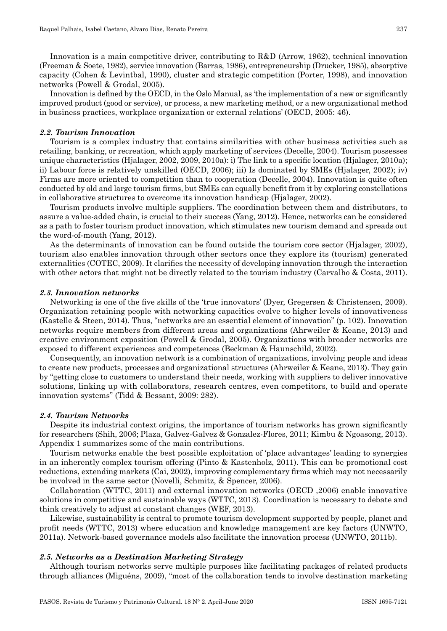Innovation is a main competitive driver, contributing to R&D (Arrow, 1962), technical innovation (Freeman & Soete, 1982), service innovation (Barras, 1986), entrepreneurship (Drucker, 1985), absorptive capacity (Cohen & Levintbal, 1990), cluster and strategic competition (Porter, 1998), and innovation networks (Powell & Grodal, 2005).

Innovation is defined by the OECD, in the Oslo Manual, as 'the implementation of a new or significantly improved product (good or service), or process, a new marketing method, or a new organizational method in business practices, workplace organization or external relations' (OECD, 2005: 46).

## *2.2. Tourism Innovation*

Tourism is a complex industry that contains similarities with other business activities such as retailing, banking, or recreation, which apply marketing of services (Decelle, 2004). Tourism possesses unique characteristics (Hjalager, 2002, 2009, 2010a): i) The link to a specific location (Hjalager, 2010a); ii) Labour force is relatively unskilled (OECD, 2006); iii) Is dominated by SMEs (Hjalager, 2002); iv) Firms are more oriented to competition than to cooperation (Decelle, 2004). Innovation is quite often conducted by old and large tourism firms, but SMEs can equally benefit from it by exploring constellations in collaborative structures to overcome its innovation handicap (Hjalager, 2002).

Tourism products involve multiple suppliers. The coordination between them and distributors, to assure a value‑added chain, is crucial to their success (Yang, 2012). Hence, networks can be considered as a path to foster tourism product innovation, which stimulates new tourism demand and spreads out the word‑of‑mouth (Yang, 2012).

As the determinants of innovation can be found outside the tourism core sector (Hjalager, 2002), tourism also enables innovation through other sectors once they explore its (tourism) generated externalities (COTEC, 2009). It clarifies the necessity of developing innovation through the interaction with other actors that might not be directly related to the tourism industry (Carvalho & Costa, 2011).

## *2.3. Innovation networks*

Networking is one of the five skills of the 'true innovators' (Dyer, Gregersen & Christensen, 2009). Organization retaining people with networking capacities evolve to higher levels of innovativeness (Kastelle & Steen, 2014). Thus, "networks are an essential element of innovation" (p. 102). Innovation networks require members from different areas and organizations (Ahrweiler & Keane, 2013) and creative environment exposition (Powell & Grodal, 2005). Organizations with broader networks are exposed to different experiences and competences (Beckman & Haunschild, 2002).

Consequently, an innovation network is a combination of organizations, involving people and ideas to create new products, processes and organizational structures (Ahrweiler & Keane, 2013). They gain by "getting close to customers to understand their needs, working with suppliers to deliver innovative solutions, linking up with collaborators, research centres, even competitors, to build and operate innovation systems" (Tidd & Bessant, 2009: 282).

## *2.4. Tourism Networks*

Despite its industrial context origins, the importance of tourism networks has grown significantly for researchers (Shih, 2006; Plaza, Galvez‑Galvez & Gonzalez‑Flores, 2011; Kimbu & Ngoasong, 2013). Appendix 1 summarizes some of the main contributions.

Tourism networks enable the best possible exploitation of 'place advantages' leading to synergies in an inherently complex tourism offering (Pinto & Kastenholz, 2011). This can be promotional cost reductions, extending markets (Cai, 2002), improving complementary firms which may not necessarily be involved in the same sector (Novelli, Schmitz, & Spencer, 2006).

Collaboration (WTTC, 2011) and external innovation networks (OECD ,2006) enable innovative solutions in competitive and sustainable ways (WTTC, 2013). Coordination is necessary to debate and think creatively to adjust at constant changes (WEF, 2013).

Likewise, sustainability is central to promote tourism development supported by people, planet and profit needs (WTTC, 2013) where education and knowledge management are key factors (UNWTO, 2011a). Network‑based governance models also facilitate the innovation process (UNWTO, 2011b).

## *2.5. Networks as a Destination Marketing Strategy*

Although tourism networks serve multiple purposes like facilitating packages of related products through alliances (Miguéns, 2009), "most of the collaboration tends to involve destination marketing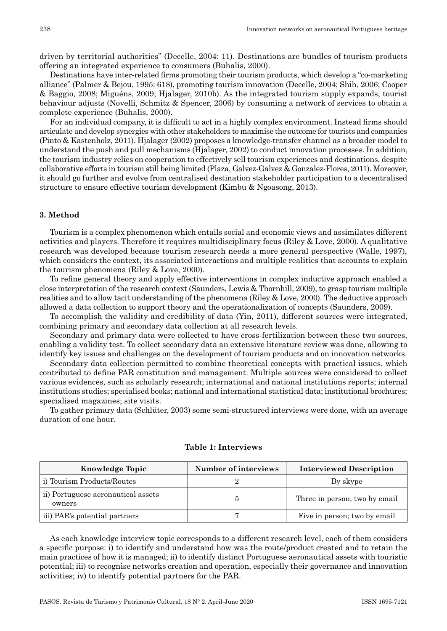driven by territorial authorities" (Decelle, 2004: 11). Destinations are bundles of tourism products offering an integrated experience to consumers (Buhalis, 2000).

Destinations have inter-related firms promoting their tourism products, which develop a "co-marketing" alliance" (Palmer & Bejou, 1995: 618), promoting tourism innovation (Decelle, 2004; Shih, 2006; Cooper & Baggio, 2008; Miguéns, 2009; Hjalager, 2010b). As the integrated tourism supply expands, tourist behaviour adjusts (Novelli, Schmitz & Spencer, 2006) by consuming a network of services to obtain a complete experience (Buhalis, 2000).

For an individual company, it is difficult to act in a highly complex environment. Instead firms should articulate and develop synergies with other stakeholders to maximise the outcome for tourists and companies (Pinto & Kastenholz, 2011). Hjalager (2002) proposes a knowledge‑transfer channel as a broader model to understand the push and pull mechanisms (Hjalager, 2002) to conduct innovation processes. In addition, the tourism industry relies on cooperation to effectively sell tourism experiences and destinations, despite collaborative efforts in tourism still being limited (Plaza, Galvez‑Galvez & Gonzalez‑Flores, 2011). Moreover, it should go further and evolve from centralised destination stakeholder participation to a decentralised structure to ensure effective tourism development (Kimbu & Ngoasong, 2013).

## **3. Method**

Tourism is a complex phenomenon which entails social and economic views and assimilates different activities and players. Therefore it requires multidisciplinary focus (Riley & Love, 2000). A qualitative research was developed because tourism research needs a more general perspective (Walle, 1997), which considers the context, its associated interactions and multiple realities that accounts to explain the tourism phenomena (Riley & Love, 2000).

To refine general theory and apply effective interventions in complex inductive approach enabled a close interpretation of the research context (Saunders, Lewis & Thornhill, 2009), to grasp tourism multiple realities and to allow tacit understanding of the phenomena (Riley & Love, 2000). The deductive approach allowed a data collection to support theory and the operationalization of concepts (Saunders, 2009).

To accomplish the validity and credibility of data (Yin, 2011), different sources were integrated, combining primary and secondary data collection at all research levels.

Secondary and primary data were collected to have cross‑fertilization between these two sources, enabling a validity test. To collect secondary data an extensive literature review was done, allowing to identify key issues and challenges on the development of tourism products and on innovation networks.

Secondary data collection permitted to combine theoretical concepts with practical issues, which contributed to define PAR constitution and management. Multiple sources were considered to collect various evidences, such as scholarly research; international and national institutions reports; internal institutions studies; specialised books; national and international statistical data; institutional brochures; specialised magazines; site visits.

To gather primary data (Schlüter, 2003) some semi‑structured interviews were done, with an average duration of one hour.

| Knowledge Topic                              | Number of interviews | <b>Interviewed Description</b> |
|----------------------------------------------|----------------------|--------------------------------|
| i) Tourism Products/Routes                   |                      | By skype                       |
| ii) Portuguese aeronautical assets<br>owners | b.                   | Three in person; two by email  |
| iii) PAR's potential partners                |                      | Five in person; two by email   |

## **Table 1: Interviews**

As each knowledge interview topic corresponds to a different research level, each of them considers a specific purpose: i) to identify and understand how was the route/product created and to retain the main practices of how it is managed; ii) to identify distinct Portuguese aeronautical assets with touristic potential; iii) to recognise networks creation and operation, especially their governance and innovation activities; iv) to identify potential partners for the PAR.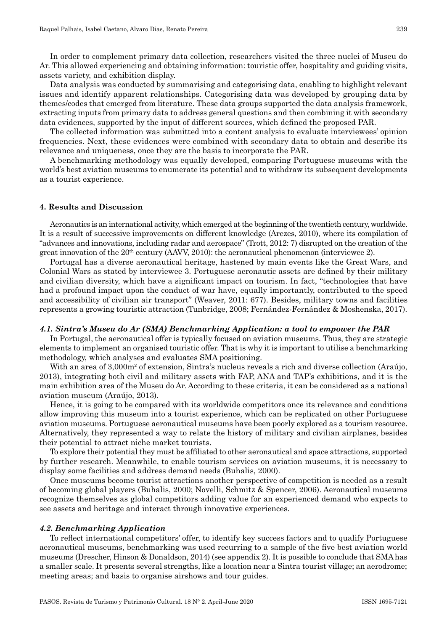In order to complement primary data collection, researchers visited the three nuclei of Museu do Ar. This allowed experiencing and obtaining information: touristic offer, hospitality and guiding visits, assets variety, and exhibition display.

Data analysis was conducted by summarising and categorising data, enabling to highlight relevant issues and identify apparent relationships. Categorising data was developed by grouping data by themes/codes that emerged from literature. These data groups supported the data analysis framework, extracting inputs from primary data to address general questions and then combining it with secondary data evidences, supported by the input of different sources, which defined the proposed PAR.

The collected information was submitted into a content analysis to evaluate interviewees' opinion frequencies. Next, these evidences were combined with secondary data to obtain and describe its relevance and uniqueness, once they are the basis to incorporate the PAR.

A benchmarking methodology was equally developed, comparing Portuguese museums with the world's best aviation museums to enumerate its potential and to withdraw its subsequent developments as a tourist experience.

## **4. Results and Discussion**

Aeronautics is an international activity, which emerged at the beginning of the twentieth century, worldwide. It is a result of successive improvements on different knowledge (Arezes, 2010), where its compilation of "advances and innovations, including radar and aerospace" (Trott, 2012: 7) disrupted on the creation of the great innovation of the  $20<sup>th</sup>$  century (AAVV, 2010): the aeronautical phenomenon (interviewee 2).

Portugal has a diverse aeronautical heritage, hastened by main events like the Great Wars, and Colonial Wars as stated by interviewee 3. Portuguese aeronautic assets are defined by their military and civilian diversity, which have a significant impact on tourism. In fact, "technologies that have had a profound impact upon the conduct of war have, equally importantly, contributed to the speed and accessibility of civilian air transport" (Weaver, 2011: 677). Besides, military towns and facilities represents a growing touristic attraction (Tunbridge, 2008; Fernández‑Fernández & Moshenska, 2017).

#### *4.1. Sintra's Museu do Ar (SMA) Benchmarking Application: a tool to empower the PAR*

In Portugal, the aeronautical offer is typically focused on aviation museums. Thus, they are strategic elements to implement an organised touristic offer. That is why it is important to utilise a benchmarking methodology, which analyses and evaluates SMA positioning.

With an area of 3,000m² of extension, Sintra's nucleus reveals a rich and diverse collection (Araújo, 2013), integrating both civil and military assets with FAP, ANA and TAP's exhibitions, and it is the main exhibition area of the Museu do Ar. According to these criteria, it can be considered as a national aviation museum (Araújo, 2013).

Hence, it is going to be compared with its worldwide competitors once its relevance and conditions allow improving this museum into a tourist experience, which can be replicated on other Portuguese aviation museums. Portuguese aeronautical museums have been poorly explored as a tourism resource. Alternatively, they represented a way to relate the history of military and civilian airplanes, besides their potential to attract niche market tourists.

To explore their potential they must be affiliated to other aeronautical and space attractions, supported by further research. Meanwhile, to enable tourism services on aviation museums, it is necessary to display some facilities and address demand needs (Buhalis, 2000).

Once museums become tourist attractions another perspective of competition is needed as a result of becoming global players (Buhalis, 2000; Novelli, Schmitz & Spencer, 2006). Aeronautical museums recognize themselves as global competitors adding value for an experienced demand who expects to see assets and heritage and interact through innovative experiences.

#### *4.2. Benchmarking Application*

To reflect international competitors' offer, to identify key success factors and to qualify Portuguese aeronautical museums, benchmarking was used recurring to a sample of the five best aviation world museums (Drescher, Hinson & Donaldson, 2014) (see appendix 2). It is possible to conclude that SMAhas a smaller scale. It presents several strengths, like a location near a Sintra tourist village; an aerodrome; meeting areas; and basis to organise airshows and tour guides.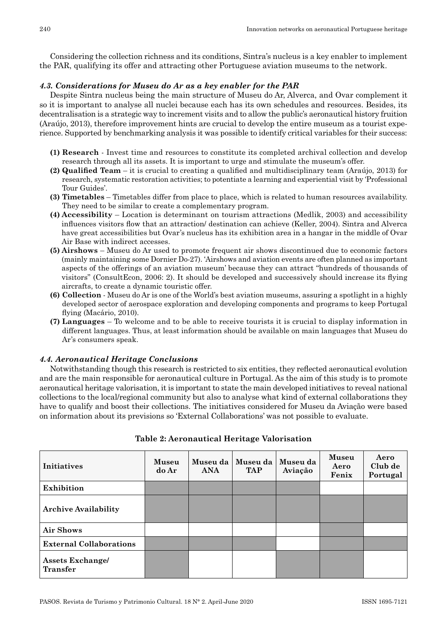Considering the collection richness and its conditions, Sintra's nucleus is a key enabler to implement the PAR, qualifying its offer and attracting other Portuguese aviation museums to the network.

## *4.3. Considerations for Museu do Ar as a key enabler for the PAR*

Despite Sintra nucleus being the main structure of Museu do Ar, Alverca, and Ovar complement it so it is important to analyse all nuclei because each has its own schedules and resources. Besides, its decentralisation is a strategic way to increment visits and to allow the public's aeronautical history fruition (Araújo, 2013), therefore improvement hints are crucial to develop the entire museum as a tourist expe‑ rience. Supported by benchmarking analysis it was possible to identify critical variables for their success:

- **(1) Research** ‑ Invest time and resources to constitute its completed archival collection and develop research through all its assets. It is important to urge and stimulate the museum's offer.
- **(2) Qualified Team** it is crucial to creating a qualified and multidisciplinary team (Araújo, 2013) for research, systematic restoration activities; to potentiate a learning and experiential visit by 'Professional Tour Guides'.
- **(3) Timetables** Timetables differ from place to place, which is related to human resources availability. They need to be similar to create a complementary program.
- **(4) Accessibility** Location is determinant on tourism attractions (Medlik, 2003) and accessibility influences visitors flow that an attraction/ destination can achieve (Keller, 2004). Sintra and Alverca have great accessibilities but Ovar's nucleus has its exhibition area in a hangar in the middle of Ovar Air Base with indirect accesses.
- **(5) Airshows** Museu do Ar used to promote frequent air shows discontinued due to economic factors (mainly maintaining some Dornier Do‑27). 'Airshows and aviation events are often planned as important aspects of the offerings of an aviation museum' because they can attract "hundreds of thousands of visitors" (ConsultEcon, 2006: 2). It should be developed and successively should increase its flying aircrafts, to create a dynamic touristic offer.
- **(6) Collection** ‑ Museu do Ar is one of the World's best aviation museums, assuring a spotlight in a highly developed sector of aerospace exploration and developing components and programs to keep Portugal flying (Macário, 2010).
- **(7) Languages**  To welcome and to be able to receive tourists it is crucial to display information in different languages. Thus, at least information should be available on main languages that Museu do Ar's consumers speak.

## *4.4. Aeronautical Heritage Conclusions*

Notwithstanding though this research is restricted to six entities, they reflected aeronautical evolution and are the main responsible for aeronautical culture in Portugal. As the aim of this study is to promote aeronautical heritage valorisation, it is important to state the main developed initiatives to reveal national collections to the local/regional community but also to analyse what kind of external collaborations they have to qualify and boost their collections. The initiatives considered for Museu da Aviação were based on information about its previsions so 'External Collaborations' was not possible to evaluate.

| <b>Initiatives</b>                        | Museu<br>do Ar | Museu da  <br><b>ANA</b> | Museu da<br><b>TAP</b> | Museu da<br>Aviação | Museu<br>Aero<br>Fenix | Aero<br>Club de<br>Portugal |
|-------------------------------------------|----------------|--------------------------|------------------------|---------------------|------------------------|-----------------------------|
| Exhibition                                |                |                          |                        |                     |                        |                             |
| <b>Archive Availability</b>               |                |                          |                        |                     |                        |                             |
| Air Shows                                 |                |                          |                        |                     |                        |                             |
| <b>External Collaborations</b>            |                |                          |                        |                     |                        |                             |
| <b>Assets Exchange</b><br><b>Transfer</b> |                |                          |                        |                     |                        |                             |

## **Table 2: Aeronautical Heritage Valorisation**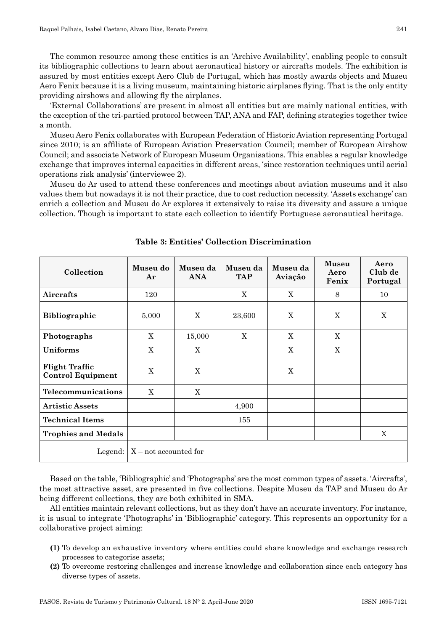The common resource among these entities is an 'Archive Availability', enabling people to consult its bibliographic collections to learn about aeronautical history or aircrafts models. The exhibition is assured by most entities except Aero Club de Portugal, which has mostly awards objects and Museu Aero Fenix because it is a living museum, maintaining historic airplanes flying. That is the only entity providing airshows and allowing fly the airplanes.

'External Collaborations' are present in almost all entities but are mainly national entities, with the exception of the tri‑partied protocol between TAP, ANA and FAP, defining strategies together twice a month.

Museu Aero Fenix collaborates with European Federation of Historic Aviation representing Portugal since 2010; is an affiliate of European Aviation Preservation Council; member of European Airshow Council; and associate Network of European Museum Organisations. This enables a regular knowledge exchange that improves internal capacities in different areas, 'since restoration techniques until aerial operations risk analysis' (interviewee 2).

Museu do Ar used to attend these conferences and meetings about aviation museums and it also values them but nowadays it is not their practice, due to cost reduction necessity. 'Assets exchange' can enrich a collection and Museu do Ar explores it extensively to raise its diversity and assure a unique collection. Though is important to state each collection to identify Portuguese aeronautical heritage.

| Collection                                        | Museu do<br>Ar          | Museu da<br><b>ANA</b> | Museu da<br><b>TAP</b> | Museu da<br>Aviação | Museu<br>Aero<br>Fenix | Aero<br>Club de<br>Portugal |
|---------------------------------------------------|-------------------------|------------------------|------------------------|---------------------|------------------------|-----------------------------|
| Aircrafts                                         | 120                     |                        | X                      | X                   | 8                      | 10                          |
| <b>Bibliographic</b>                              | 5,000                   | X                      | 23,600                 | X                   | X                      | X                           |
| Photographs                                       | X                       | 15,000                 | X                      | X                   | X                      |                             |
| Uniforms                                          | X                       | X                      |                        | X                   | X                      |                             |
| <b>Flight Traffic</b><br><b>Control Equipment</b> | X                       | X                      |                        | X                   |                        |                             |
| Telecommunications                                | X                       | X                      |                        |                     |                        |                             |
| <b>Artistic Assets</b>                            |                         |                        | 4,900                  |                     |                        |                             |
| <b>Technical Items</b>                            |                         |                        | 155                    |                     |                        |                             |
| <b>Trophies and Medals</b>                        |                         |                        |                        |                     |                        | X                           |
| Legend:                                           | $X$ – not accounted for |                        |                        |                     |                        |                             |

**Table 3: Entities' Collection Discrimination**

Based on the table, 'Bibliographic' and 'Photographs' are the most common types of assets. 'Aircrafts', the most attractive asset, are presented in five collections. Despite Museu da TAP and Museu do Ar being different collections, they are both exhibited in SMA.

All entities maintain relevant collections, but as they don't have an accurate inventory. For instance, it is usual to integrate 'Photographs' in 'Bibliographic' category. This represents an opportunity for a collaborative project aiming:

- **(1)** To develop an exhaustive inventory where entities could share knowledge and exchange research processes to categorise assets;
- **(2)** To overcome restoring challenges and increase knowledge and collaboration since each category has diverse types of assets.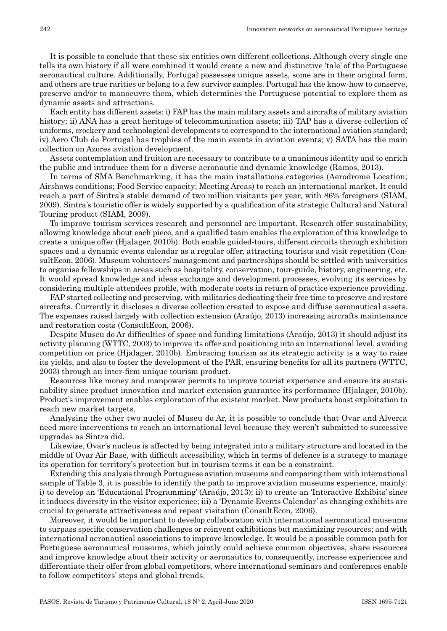It is possible to conclude that these six entities own different collections. Although every single one tells its own history if all were combined it would create a new and distinctive 'tale' of the Portuguese aeronautical culture. Additionally, Portugal possesses unique assets, some are in their original form, and others are true rarities or belong to a few survivor samples. Portugal has the know‑how to conserve, preserve and/or to manoeuvre them, which determines the Portuguese potential to explore them as dynamic assets and attractions.

Each entity has different assets: i) FAP has the main military assets and aircrafts of military aviation history; ii) ANA has a great heritage of telecommunication assets; iii) TAP has a diverse collection of uniforms, crockery and technological developments to correspond to the international aviation standard; iv) Aero Club de Portugal has trophies of the main events in aviation events; v) SATA has the main collection on Azores aviation development.

Assets contemplation and fruition are necessary to contribute to a unanimous identity and to enrich the public and introduce them for a diverse aeronautic and dynamic knowledge (Ramos, 2013).

In terms of SMA Benchmarking, it has the main installations categories (Aerodrome Location; Airshows conditions; Food Service capacity; Meeting Areas) to reach an international market. It could reach a part of Sintra's stable demand of two million visitants per year, with 86% foreigners (SIAM, 2009). Sintra's touristic offer is widely supported by a qualification of its strategic Cultural and Natural Touring product (SIAM, 2009).

To improve tourism services research and personnel are important. Research offer sustainability, allowing knowledge about each piece, and a qualified team enables the exploration of this knowledge to create a unique offer (Hjalager, 2010b). Both enable guided‑tours, different circuits through exhibition spaces and a dynamic events calendar as a regular offer, attracting tourists and visit repetition (ConsultEcon, 2006). Museum volunteers' management and partnerships should be settled with universities to organise fellowships in areas such as hospitality, conservation, tour‑guide, history, engineering, etc. It would spread knowledge and ideas exchange and development processes, evolving its services by considering multiple attendees profile, with moderate costs in return of practice experience providing.

FAP started collecting and preserving, with militaries dedicating their free time to preserve and restore aircrafts. Currently it discloses a diverse collection created to expose and diffuse aeronautical assets. The expenses raised largely with collection extension (Araújo, 2013) increasing aircrafts maintenance and restoration costs (ConsultEcon, 2006).

Despite Museu do Ar difficulties of space and funding limitations (Araújo, 2013) it should adjust its activity planning (WTTC, 2003) to improve its offer and positioning into an international level, avoiding competition on price (Hjalager, 2010b). Embracing tourism as its strategic activity is a way to raise its yields, and also to foster the development of the PAR, ensuring benefits for all its partners (WTTC, 2003) through an inter‑firm unique tourism product.

Resources like money and manpower permits to improve tourist experience and ensure its sustai nability since product innovation and market extension guarantee its performance (Hjalager, 2010b). Product's improvement enables exploration of the existent market. New products boost exploitation to reach new market targets.

Analysing the other two nuclei of Museu do Ar, it is possible to conclude that Ovar and Alverca need more interventions to reach an international level because they weren't submitted to successive upgrades as Sintra did.

Likewise, Ovar's nucleus is affected by being integrated into a military structure and located in the middle of Ovar Air Base, with difficult accessibility, which in terms of defence is a strategy to manage its operation for territory's protection but in tourism terms it can be a constraint.

Extending this analysis through Portuguese aviation museums and comparing them with international sample of Table 3, it is possible to identify the path to improve aviation museums experience, mainly: i) to develop an 'Educational Programming' (Araújo, 2013); ii) to create an 'Interactive Exhibits' since it induces diversity in the visitor experience; iii) a 'Dynamic Events Calendar' as changing exhibits are crucial to generate attractiveness and repeat visitation (ConsultEcon, 2006).

Moreover, it would be important to develop collaboration with international aeronautical museums to surpass specific conservation challenges or reinvent exhibitions but maximizing resources; and with international aeronautical associations to improve knowledge. It would be a possible common path for Portuguese aeronautical museums, which jointly could achieve common objectives, share resources and improve knowledge about their activity or aeronautics to, consequently, increase experiences and differentiate their offer from global competitors, where international seminars and conferences enable to follow competitors' steps and global trends.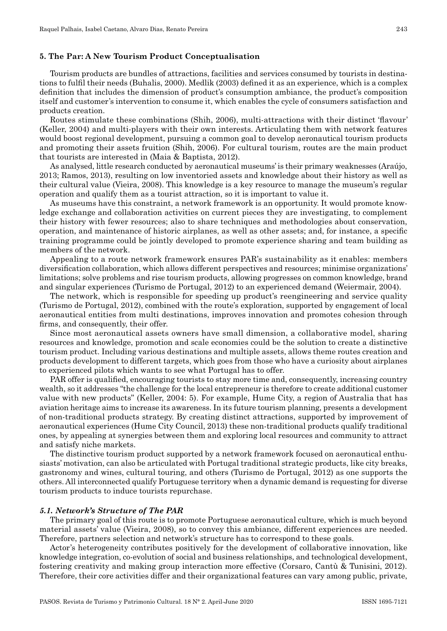#### **5. The Par: A New Tourism Product Conceptualisation**

Tourism products are bundles of attractions, facilities and services consumed by tourists in destina‑ tions to fulfil their needs (Buhalis, 2000). Medlik (2003) defined it as an experience, which is a complex definition that includes the dimension of product's consumption ambiance, the product's composition itself and customer's intervention to consume it, which enables the cycle of consumers satisfaction and products creation.

Routes stimulate these combinations (Shih, 2006), multi‑attractions with their distinct 'flavour' (Keller, 2004) and multi‑players with their own interests. Articulating them with network features would boost regional development, pursuing a common goal to develop aeronautical tourism products and promoting their assets fruition (Shih, 2006). For cultural tourism, routes are the main product that tourists are interested in (Maia & Baptista, 2012).

As analysed, little research conducted by aeronautical museums' is their primary weaknesses (Araújo, 2013; Ramos, 2013), resulting on low inventoried assets and knowledge about their history as well as their cultural value (Vieira, 2008). This knowledge is a key resource to manage the museum's regular operation and qualify them as a tourist attraction, so it is important to value it.

As museums have this constraint, a network framework is an opportunity. It would promote knowledge exchange and collaboration activities on current pieces they are investigating, to complement their history with fewer resources; also to share techniques and methodologies about conservation, operation, and maintenance of historic airplanes, as well as other assets; and, for instance, a specific training programme could be jointly developed to promote experience sharing and team building as members of the network.

Appealing to a route network framework ensures PAR's sustainability as it enables: members diversification collaboration, which allows different perspectives and resources; minimise organizations' limitations; solve problems and rise tourism products, allowing progresses on common knowledge, brand and singular experiences (Turismo de Portugal, 2012) to an experienced demand (Weiermair, 2004).

The network, which is responsible for speeding up product's reengineering and service quality (Turismo de Portugal, 2012), combined with the route's exploration, supported by engagement of local aeronautical entities from multi destinations, improves innovation and promotes cohesion through firms, and consequently, their offer.

Since most aeronautical assets owners have small dimension, a collaborative model, sharing resources and knowledge, promotion and scale economies could be the solution to create a distinctive tourism product. Including various destinations and multiple assets, allows theme routes creation and products development to different targets, which goes from those who have a curiosity about airplanes to experienced pilots which wants to see what Portugal has to offer.

PAR offer is qualified, encouraging tourists to stay more time and, consequently, increasing country wealth, so it addresses "the challenge for the local entrepreneur is therefore to create additional customer value with new products" (Keller, 2004: 5). For example, Hume City, a region of Australia that has aviation heritage aims to increase its awareness. In its future tourism planning, presents a development of non‑traditional products strategy. By creating distinct attractions, supported by improvement of aeronautical experiences (Hume City Council, 2013) these non‑traditional products qualify traditional ones, by appealing at synergies between them and exploring local resources and community to attract and satisfy niche markets.

The distinctive tourism product supported by a network framework focused on aeronautical enthusiasts' motivation, can also be articulated with Portugal traditional strategic products, like city breaks, gastronomy and wines, cultural touring, and others (Turismo de Portugal, 2012) as one supports the others. All interconnected qualify Portuguese territory when a dynamic demand is requesting for diverse tourism products to induce tourists repurchase.

#### *5.1. Network's Structure of The PAR*

The primary goal of this route is to promote Portuguese aeronautical culture, which is much beyond material assets' value (Vieira, 2008), so to convey this ambiance, different experiences are needed. Therefore, partners selection and network's structure has to correspond to these goals.

Actor's heterogeneity contributes positively for the development of collaborative innovation, like knowledge integration, co‑evolution of social and business relationships, and technological development, fostering creativity and making group interaction more effective (Corsaro, Cantù & Tunisini, 2012). Therefore, their core activities differ and their organizational features can vary among public, private,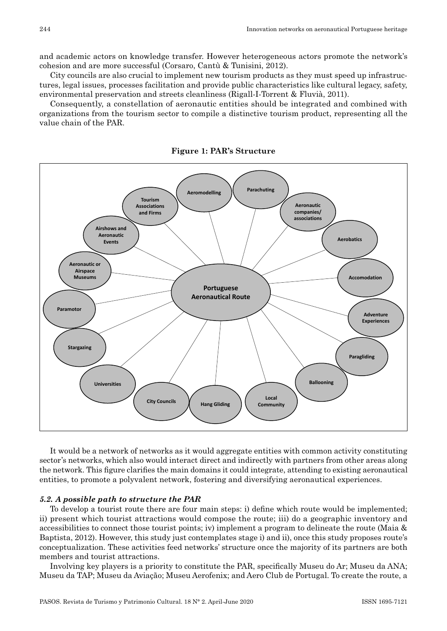cohesion and are more successful (Corsaro, Cantù & Tunisini, 2012). City councils are also crucial to implement new tourism products as they must speed up infrastructures, legal issues, processes facilitation and provide public characteristics like cultural legacy, safety, environmental preservation and streets cleanliness (Rigall‑I‑Torrent & Fluvià, 2011).

Consequently, a constellation of aeronautic entities should be integrated and combined with organizations from the tourism sector to compile a distinctive tourism product, representing all the value chain of the PAR.



**Figure 1: PAR's Structure**

It would be a network of networks as it would aggregate entities with common activity constituting sector's networks, which also would interact direct and indirectly with partners from other areas along the network. This figure clarifies the main domains it could integrate, attending to existing aeronautical entities, to promote a polyvalent network, fostering and diversifying aeronautical experiences.

#### *5.2. A possible path to structure the PAR*

To develop a tourist route there are four main steps: i) define which route would be implemented; ii) present which tourist attractions would compose the route; iii) do a geographic inventory and accessibilities to connect those tourist points; iv) implement a program to delineate the route (Maia & Baptista, 2012). However, this study just contemplates stage i) and ii), once this study proposes route's conceptualization. These activities feed networks' structure once the majority of its partners are both members and tourist attractions.

Involving key players is a priority to constitute the PAR, specifically Museu do Ar; Museu da ANA; Museu da TAP; Museu da Aviação; Museu Aerofenix; and Aero Club de Portugal. To create the route, a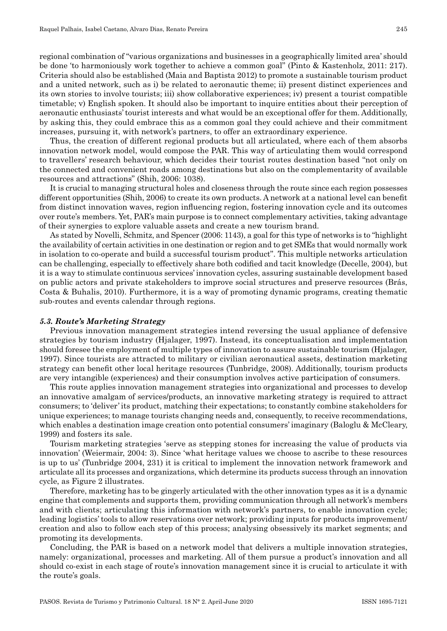regional combination of "various organizations and businesses in a geographically limited area' should be done 'to harmoniously work together to achieve a common goal" (Pinto & Kastenholz, 2011: 217). Criteria should also be established (Maia and Baptista 2012) to promote a sustainable tourism product and a united network, such as i) be related to aeronautic theme; ii) present distinct experiences and its own stories to involve tourists; iii) show collaborative experiences; iv) present a tourist compatible timetable; v) English spoken. It should also be important to inquire entities about their perception of aeronautic enthusiasts' tourist interests and what would be an exceptional offer for them. Additionally, by asking this, they could embrace this as a common goal they could achieve and their commitment increases, pursuing it, with network's partners, to offer an extraordinary experience.

Thus, the creation of different regional products but all articulated, where each of them absorbs innovation network model, would compose the PAR. This way of articulating them would correspond to travellers' research behaviour, which decides their tourist routes destination based "not only on the connected and convenient roads among destinations but also on the complementarity of available resources and attractions" (Shih, 2006: 1038).

It is crucial to managing structural holes and closeness through the route since each region possesses different opportunities (Shih, 2006) to create its own products. A network at a national level can benefit from distinct innovation waves, region influencing region, fostering innovation cycle and its outcomes over route's members. Yet, PAR's main purpose is to connect complementary activities, taking advantage of their synergies to explore valuable assets and create a new tourism brand.

As stated by Novelli, Schmitz, and Spencer (2006: 1143), a goal for this type of networks is to "highlight the availability of certain activities in one destination or region and to get SMEs that would normally work in isolation to co-operate and build a successful tourism product". This multiple networks articulation can be challenging, especially to effectively share both codified and tacit knowledge (Decelle, 2004), but it is a way to stimulate continuous services' innovation cycles, assuring sustainable development based on public actors and private stakeholders to improve social structures and preserve resources (Brás, Costa & Buhalis, 2010). Furthermore, it is a way of promoting dynamic programs, creating thematic sub-routes and events calendar through regions.

#### *5.3. Route's Marketing Strategy*

Previous innovation management strategies intend reversing the usual appliance of defensive strategies by tourism industry (Hjalager, 1997). Instead, its conceptualisation and implementation should foresee the employment of multiple types of innovation to assure sustainable tourism (Hjalager, 1997). Since tourists are attracted to military or civilian aeronautical assets, destination marketing strategy can benefit other local heritage resources (Tunbridge, 2008). Additionally, tourism products are very intangible (experiences) and their consumption involves active participation of consumers.

This route applies innovation management strategies into organizational and processes to develop an innovative amalgam of services/products, an innovative marketing strategy is required to attract consumers; to 'deliver' its product, matching their expectations; to constantly combine stakeholders for unique experiences; to manage tourists changing needs and, consequently, to receive recommendations, which enables a destination image creation onto potential consumers' imaginary (Baloglu & McCleary, 1999) and fosters its sale.

Tourism marketing strategies 'serve as stepping stones for increasing the value of products via innovation' (Weiermair, 2004: 3). Since 'what heritage values we choose to ascribe to these resources is up to us' (Tunbridge 2004, 231) it is critical to implement the innovation network framework and articulate all its processes and organizations, which determine its products success through an innovation cycle, as Figure 2 illustrates.

Therefore, marketing has to be gingerly articulated with the other innovation types as it is a dynamic engine that complements and supports them, providing communication through all network's members and with clients; articulating this information with network's partners, to enable innovation cycle; leading logistics' tools to allow reservations over network; providing inputs for products improvement/ creation and also to follow each step of this process; analysing obsessively its market segments; and promoting its developments.

Concluding, the PAR is based on a network model that delivers a multiple innovation strategies, namely: organizational, processes and marketing. All of them pursue a product's innovation and all should co-exist in each stage of route's innovation management since it is crucial to articulate it with the route's goals.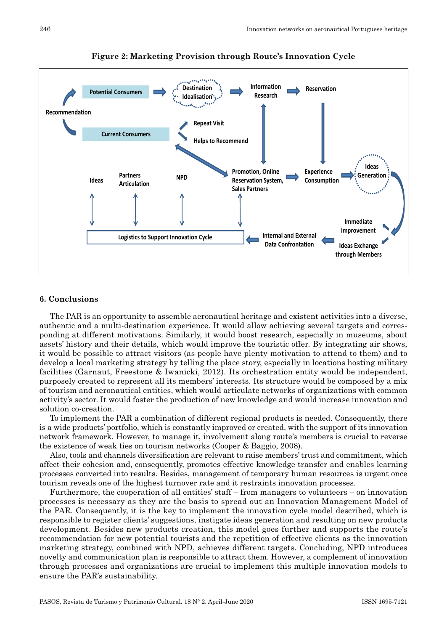

#### **Figure 2: Marketing Provision through Route's Innovation Cycle**

## **6. Conclusions**

The PAR is an opportunity to assemble aeronautical heritage and existent activities into a diverse, authentic and a multi-destination experience. It would allow achieving several targets and corres– ponding at different motivations. Similarly, it would boost research, especially in museums, about assets' history and their details, which would improve the touristic offer. By integrating air shows, it would be possible to attract visitors (as people have plenty motivation to attend to them) and to develop a local marketing strategy by telling the place story, especially in locations hosting military facilities (Garnaut, Freestone & Iwanicki, 2012). Its orchestration entity would be independent, purposely created to represent all its members' interests. Its structure would be composed by a mix of tourism and aeronautical entities, which would articulate networks of organizations with common activity's sector. It would foster the production of new knowledge and would increase innovation and solution co-creation.

To implement the PAR a combination of different regional products is needed. Consequently, there is a wide products' portfolio, which is constantly improved or created, with the support of its innovation network framework. However, to manage it, involvement along route's members is crucial to reverse the existence of weak ties on tourism networks (Cooper & Baggio, 2008).

Also, tools and channels diversification are relevant to raise members' trust and commitment, which affect their cohesion and, consequently, promotes effective knowledge transfer and enables learning processes converted into results. Besides, management of temporary human resources is urgent once tourism reveals one of the highest turnover rate and it restraints innovation processes.

Furthermore, the cooperation of all entities' staff – from managers to volunteers – on innovation processes is necessary as they are the basis to spread out an Innovation Management Model of the PAR. Consequently, it is the key to implement the innovation cycle model described, which is responsible to register clients' suggestions, instigate ideas generation and resulting on new products development. Besides new products creation, this model goes further and supports the route's recommendation for new potential tourists and the repetition of effective clients as the innovation marketing strategy, combined with NPD, achieves different targets. Concluding, NPD introduces novelty and communication plan is responsible to attract them. However, a complement of innovation through processes and organizations are crucial to implement this multiple innovation models to ensure the PAR's sustainability.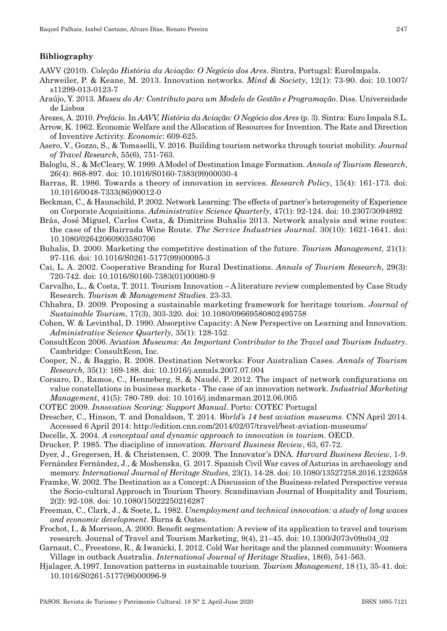## **Bibliography**

- AAVV (2010). *Coleção História da Aviação: O Negócio dos Ares*. Sintra, Portugal: EuroImpala.
- Ahrweiler, P. & Keane, M. 2013. Innovation networks. *Mind & Society*, 12(1): 73‑90. doi: 10.1007/ s11299‑013‑0123‑7
- Araújo, Y. 2013. *Museu do Ar: Contributo para um Modelo de Gestão e Programação*. Diss. Universidade de Lisboa
- Arezes, A. 2010. *Prefácio*. In *AAVV, História da Aviação: O Negócio dos Ares* (p. 3). Sintra: Euro Impala S.L.
- Arrow, K. 1962. Economic Welfare and the Allocation of Resources for Invention. The Rate and Direction of Inventive Activity. *Economic*: 609‑625.
- Asero, V., Gozzo, S., & Tomaselli, V. 2016. Building tourism networks through tourist mobility. *Journal of Travel Research*, 55(6), 751‑763.
- Baloglu, S., & McCleary, W. 1999. A Model of Destination Image Formation. *Annals of Tourism Research*, 26(4): 868‑897. doi: 10.1016/S0160‑7383(99)00030‑4
- Barras, R. 1986. Towards a theory of innovation in services. *Research Policy*, 15(4): 161‑173. doi: 10.1016/0048‑7333(86)90012‑0
- Beckman, C., & Haunschild, P. 2002. Network Learning: The effects of partner's heterogeneity of Experience on Corporate Acquisitions. *Administrative Science Quarterly*, 47(1): 92‑124. doi: 10.2307/3094892
- Brás, José Miguel, Carlos Costa, & Dimitrios Buhalis 2013. Network analysis and wine routes: the case of the Bairrada Wine Route. *The Service Industries Journal*. 30(10): 1621‑1641. doi: 10.1080/02642060903580706
- Buhalis, D. 2000. Marketing the competitive destination of the future. *Tourism Management*, 21(1): 97‑116. doi: 10.1016/S0261‑5177(99)00095‑3
- Cai, L. A. 2002. Cooperative Branding for Rural Destinations. *Annals of Tourism Research*, 29(3): 720‑742. doi: 10.1016/S0160‑7383(01)00080‑9
- Carvalho, L., & Costa, T. 2011. Tourism Innovation A literature review complemented by Case Study Research. *Tourism & Management Studies*. 23‑33.
- Chhabra, D. 2009. Proposing a sustainable marketing framework for heritage tourism. *Journal of Sustainable Tourism*, 17(3), 303‑320. doi: 10.1080/09669580802495758
- Cohen, W. & Levintbal, D. 1990. Absorptive Capacity: A New Perspective on Learning and Innovation. *Administrative Science Quarterly*, 35(1): 128‑152.
- ConsultEcon 2006. Avi*ation Museums: An Important Contributor to the Travel and Tourism Industry*. Cambridge: ConsultEcon, Inc.
- Cooper, N., & Baggio, R. 2008. Destination Networks: Four Australian Cases. *Annals of Tourism Research*, 35(1): 169‑188. doi: 10.1016/j.annals.2007.07.004
- Corsaro, D., Ramos, C., Henneberg, S, & Naudé, P. 2012. The impact of network configurations on value constellations in business markets ‑ The case of an innovation network. *Industrial Marketing Management*, 41(5): 780‑789. doi: 10.1016/j.indmarman.2012.06.005
- COTEC 2009. *Innovation Scoring: Support Manual*. Porto: COTEC Portugal
- Drescher, C., Hinson, T. and Donaldson, T. 2014. *World's 14 best aviation museums*. CNN April 2014. Accessed 6 April 2014: http://edition.cnn.com/2014/02/07/travel/best‑aviation‑museums/
- Decelle, X. 2004. *A conceptual and dynamic approach to innovation in tourism*. OECD.
- Drucker, P. 1985. The discipline of innovation. *Harvard Business Review*, 63, 67‑72.
- Dyer, J., Gregersen, H. & Christensen, C. 2009. The Innovator's DNA. *Harvard Business Review*, 1‑9.
- Fernández Fernández, J., & Moshenska, G. 2017. Spanish Civil War caves of Asturias in archaeology and memory. *International Journal of Heritage Studies*, 23(1), 14‑28. doi: 10.1080/13527258.2016.1232658
- Framke, W. 2002. The Destination as a Concept: A Discussion of the Business-related Perspective versus the Socio‑cultural Approach in Tourism Theory. Scandinavian Journal of Hospitality and Tourism, 2(2): 92‑108. doi: 10.1080/15022250216287
- Freeman, C., Clark, J., & Soete, L. 1982. *Unemployment and technical innovation: a study of long waves and economic development*. Burns & Oates.
- Frochot, I., & Morrison, A. 2000. Benefit segmentation: A review of its application to travel and tourism research. Journal of Travel and Tourism Marketing, 9(4), 21–45. doi: 10.1300/J073v09n04\_02
- Garnaut, C., Freestone, R., & Iwanicki, I. 2012. Cold War heritage and the planned community: Woomera Village in outback Australia. *International Journal of Heritage Studies*, 18(6), 541‑563.
- Hjalager, A.1997. Innovation patterns in sustainable tourism. *Tourism Management*, 18 (1), 35‑41. doi: 10.1016/S0261‑5177(96)00096‑9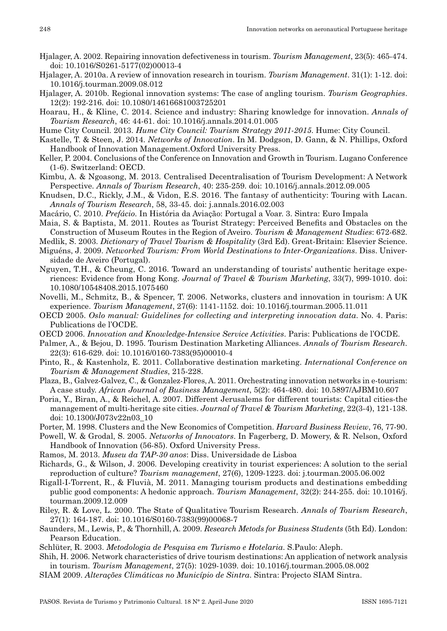- Hjalager, A. 2002. Repairing innovation defectiveness in tourism. *Tourism Management*, 23(5): 465‑474. doi: 10.1016/S0261‑5177(02)00013‑4
- Hjalager, A. 2010a. A review of innovation research in tourism. *Tourism Management*. 31(1): 1‑12. doi: 10.1016/j.tourman.2009.08.012
- Hjalager, A. 2010b. Regional innovation systems: The case of angling tourism. *Tourism Geographies*. 12(2): 192‑216. doi: 10.1080/14616681003725201
- Hoarau, H., & Kline, C. 2014. Science and industry: Sharing knowledge for innovation. *Annals of Tourism Research*, 46: 44‑61. doi: 10.1016/j.annals.2014.01.005
- Hume City Council. 2013. *Hume City Council: Tourism Strategy 2011‑2015*. Hume: City Council.
- Kastelle, T. & Steen, J. 2014. *Networks of Innovation*. In M. Dodgson, D. Gann, & N. Phillips, Oxford Handbook of Innovation Management.Oxford University Press.
- Keller, P. 2004. Conclusions of the Conference on Innovation and Growth in Tourism. Lugano Conference (1‑6). Switzerland: OECD.
- Kimbu, A. & Ngoasong, M. 2013. Centralised Decentralisation of Tourism Development: A Network Perspective. *Annals of Tourism Research*, 40: 235‑259. doi: 10.1016/j.annals.2012.09.005
- Knudsen, D.C., Rickly, J.M., & Vidon, E.S. 2016. The fantasy of authenticity: Touring with Lacan. *Annals of Tourism Research*, 58, 33‑45. doi: j.annals.2016.02.003
- Macário, C. 2010. *Prefácio*. In História da Aviação: Portugal a Voar. 3. Sintra: Euro Impala
- Maia, S. & Baptista, M. 2011. Routes as Tourist Strategy: Perceived Benefits and Obstacles on the Construction of Museum Routes in the Region of Aveiro. *Tourism & Management Studies*: 672‑682.
- Medlik, S. 2003. *Dictionary of Travel Tourism & Hospitality* (3rd Ed). Great-Britain: Elsevier Science.
- Miguéns, J. 2009. *Networked Tourism: From World Destinations to Inter‑Organizations*. Diss. Univer‑ sidade de Aveiro (Portugal).
- Nguyen, T.H., & Cheung, C. 2016. Toward an understanding of tourists' authentic heritage experiences: Evidence from Hong Kong. *Journal of Travel & Tourism Marketing*, 33(7), 999‑1010. doi: 10.1080/10548408.2015.1075460
- Novelli, M., Schmitz, B., & Spencer, T. 2006. Networks, clusters and innovation in tourism: A UK experience. *Tourism Management*, 27(6): 1141‑1152. doi: 10.1016/j.tourman.2005.11.011
- OECD 2005. *Oslo manual: Guidelines for collecting and interpreting innovation data*. No. 4. Paris: Publications de l'OCDE.
- OECD 2006. *Innovation and Knowledge‑Intensive Service Activities*. Paris: Publications de l'OCDE.
- Palmer, A., & Bejou, D. 1995. Tourism Destination Marketing Alliances. *Annals of Tourism Research*. 22(3): 616‑629. doi: 10.1016/0160‑7383(95)00010‑4
- Pinto, R., & Kastenholz, E. 2011. Collaborative destination marketing. *International Conference on Tourism & Management Studies*, 215‑228.
- Plaza, B., Galvez-Galvez, C., & Gonzalez-Flores, A. 2011. Orchestrating innovation networks in e-tourism: A case study. *African Journal of Business Management*, 5(2): 464‑480. doi: 10.5897/AJBM10.607
- Poria, Y., Biran, A., & Reichel, A. 2007. Different Jerusalems for different tourists: Capital cities-the management of multi-heritage site cities. *Journal of Travel & Tourism Marketing*, 22(3-4), 121-138. doi: 10.1300/J073v22n03\_10
- Porter, M. 1998. Clusters and the New Economics of Competition. *Harvard Business Review*, 76, 77‑90.
- Powell, W. & Grodal, S. 2005. *Networks of Innovators*. In Fagerberg, D. Mowery, & R. Nelson, Oxford Handbook of Innovation (56‑85). Oxford University Press.
- Ramos, M. 2013. *Museu da TAP‑30 anos*: Diss. Universidade de Lisboa
- Richards, G., & Wilson, J. 2006. Developing creativity in tourist experiences: A solution to the serial reproduction of culture? *Tourism management*, 27(6), 1209‑1223. doi: j.tourman.2005.06.002
- Rigall‑I‑Torrent, R., & Fluvià, M. 2011. Managing tourism products and destinations embedding public good components: A hedonic approach. *Tourism Management*, 32(2): 244‑255. doi: 10.1016/j. tourman.2009.12.009
- Riley, R. & Love, L. 2000. The State of Qualitative Tourism Research. *Annals of Tourism Research*, 27(1): 164‑187. doi: 10.1016/S0160‑7383(99)00068‑7
- Saunders, M., Lewis, P., & Thornhill, A. 2009. *Research Metods for Business Students* (5th Ed). London: Pearson Education.
- Schlüter, R. 2003. *Metodologia de Pesquisa em Turismo e Hotelaria*. S.Paulo: Aleph.
- Shih, H. 2006. Network characteristics of drive tourism destinations: An application of network analysis in tourism. *Tourism Management*, 27(5): 1029‑1039. doi: 10.1016/j.tourman.2005.08.002
- SIAM 2009. *Alterações Climáticas no Município de Sintra*. Sintra: Projecto SIAM Sintra.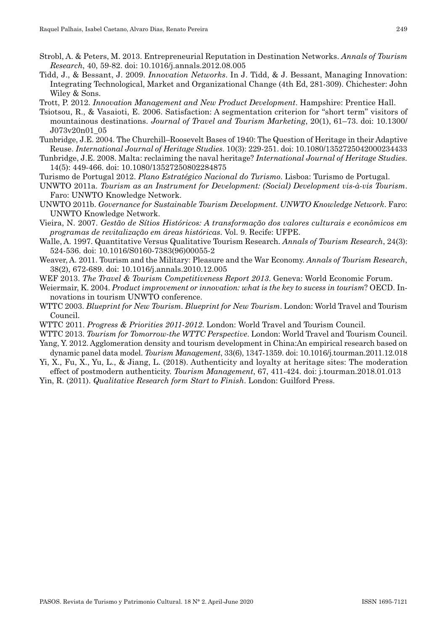- Strobl, A. & Peters, M. 2013. Entrepreneurial Reputation in Destination Networks. *Annals of Tourism Research*, 40, 59‑82. doi: 10.1016/j.annals.2012.08.005
- Tidd, J., & Bessant, J. 2009. *Innovation Networks*. In J. Tidd, & J. Bessant, Managing Innovation: Integrating Technological, Market and Organizational Change (4th Ed, 281‑309). Chichester: John Wiley & Sons.
- Trott, P. 2012. *Innovation Management and New Product Development*. Hampshire: Prentice Hall.
- Tsiotsou, R., & Vasaioti, E. 2006. Satisfaction: A segmentation criterion for "short term" visitors of mountainous destinations. *Journal of Travel and Tourism Marketing*, 20(1), 61–73. doi: 10.1300/ J073v20n01\_05
- Tunbridge, J.E. 2004. The Churchill–Roosevelt Bases of 1940: The Question of Heritage in their Adaptive Reuse. *International Journal of Heritage Studies*. 10(3): 229‑251. doi: 10.1080/1352725042000234433
- Tunbridge, J.E. 2008. Malta: reclaiming the naval heritage? *International Journal of Heritage Studies.* 14(5): 449‑466. doi: 10.1080/13527250802284875
- Turismo de Portugal 2012. *Plano Estratégico Nacional do Turismo*. Lisboa: Turismo de Portugal.
- UNWTO 2011a. *Tourism as an Instrument for Development: (Social) Development vis‑à‑vis Tourism*. Faro: UNWTO Knowledge Network.
- UNWTO 2011b. *Governance for Sustainable Tourism Development. UNWTO Knowledge Network*. Faro: UNWTO Knowledge Network.
- Vieira, N. 2007. *Gestão de Sítios Históricos: A transformação dos valores culturais e econômicos em programas de revitalização em áreas históricas*. Vol. 9. Recife: UFPE.
- Walle, A. 1997. Quantitative Versus Qualitative Tourism Research. *Annals of Tourism Research*, 24(3): 524‑536. doi: 10.1016/S0160‑7383(96)00055‑2
- Weaver, A. 2011. Tourism and the Military: Pleasure and the War Economy. *Annals of Tourism Research*, 38(2), 672‑689. doi: 10.1016/j.annals.2010.12.005
- WEF 2013. *The Travel & Tourism Competitiveness Report 2013*. Geneva: World Economic Forum.
- Weiermair, K. 2004. *Product improvement or innovation: what is the key to sucess in tourism*? OECD. In‑ novations in tourism UNWTO conference.
- WTTC 2003. *Blueprint for New Tourism. Blueprint for New Tourism*. London: World Travel and Tourism Council.
- WTTC 2011. *Progress & Priorities 2011‑2012*. London: World Travel and Tourism Council.
- WTTC 2013. *Tourism for Tomorrow‑the WTTC Perspective*. London: World Travel and Tourism Council. Yang, Y. 2012. Agglomeration density and tourism development in China:An empirical research based on
- dynamic panel data model. *Tourism Management*, 33(6), 1347‑1359. doi: 10.1016/j.tourman.2011.12.018 Yi, X., Fu, X., Yu, L., & Jiang, L. (2018). Authenticity and loyalty at heritage sites: The moderation
- effect of postmodern authenticity. *Tourism Management*, 67, 411‑424. doi: j.tourman.2018.01.013 Yin, R. (2011). *Qualitative Research form Start to Finish*. London: Guilford Press.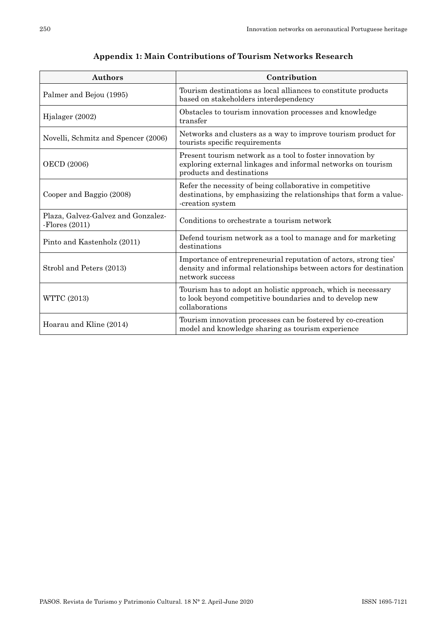| Authors                                                   | Contribution                                                                                                                                             |
|-----------------------------------------------------------|----------------------------------------------------------------------------------------------------------------------------------------------------------|
| Palmer and Bejou (1995)                                   | Tourism destinations as local alliances to constitute products<br>based on stakeholders interdependency                                                  |
| Hjalager (2002)                                           | Obstacles to tourism innovation processes and knowledge<br>transfer                                                                                      |
| Novelli, Schmitz and Spencer (2006)                       | Networks and clusters as a way to improve tourism product for<br>tourists specific requirements                                                          |
| <b>OECD</b> (2006)                                        | Present tourism network as a tool to foster innovation by<br>exploring external linkages and informal networks on tourism<br>products and destinations   |
| Cooper and Baggio (2008)                                  | Refer the necessity of being collaborative in competitive<br>destinations, by emphasizing the relationships that form a value-<br>-creation system       |
| Plaza, Galvez-Galvez and Gonzalez-<br>$-$ Flores $(2011)$ | Conditions to orchestrate a tourism network                                                                                                              |
| Pinto and Kastenholz (2011)                               | Defend tourism network as a tool to manage and for marketing<br>destinations                                                                             |
| Strobl and Peters (2013)                                  | Importance of entrepreneurial reputation of actors, strong ties'<br>density and informal relationships between actors for destination<br>network success |
| WTTC (2013)                                               | Tourism has to adopt an holistic approach, which is necessary<br>to look beyond competitive boundaries and to develop new<br>collaborations              |
| Hoarau and Kline (2014)                                   | Tourism innovation processes can be fostered by co-creation<br>model and knowledge sharing as tourism experience                                         |

**Appendix 1: Main Contributions of Tourism Networks Research**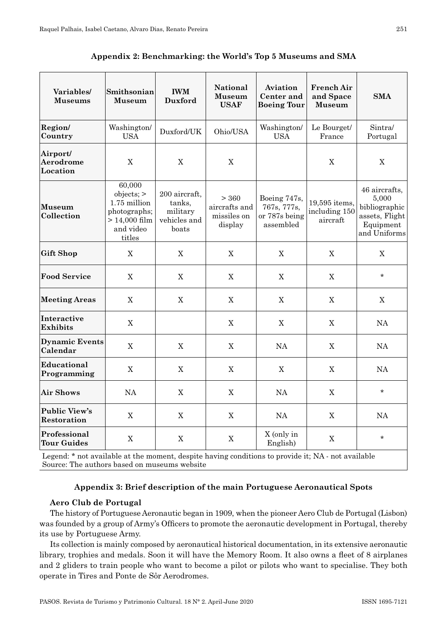| Variables/<br><b>Museums</b>        | Smithsonian<br><b>Museum</b>                                                                        | <b>IWM</b><br>Duxford                                        | <b>National</b><br>Museum<br><b>USAF</b>         | Aviation<br>Center and<br><b>Boeing Tour</b>              | <b>French Air</b><br>and Space<br>Museum   | <b>SMA</b>                                                                             |
|-------------------------------------|-----------------------------------------------------------------------------------------------------|--------------------------------------------------------------|--------------------------------------------------|-----------------------------------------------------------|--------------------------------------------|----------------------------------------------------------------------------------------|
| Region/<br>Country                  | Washington/<br><b>USA</b>                                                                           | Duxford/UK                                                   | Ohio/USA                                         | Washington/<br><b>USA</b>                                 | Le Bourget/<br>France                      | Sintra/<br>Portugal                                                                    |
| Airport/<br>Aerodrome<br>Location   | X                                                                                                   | X                                                            | X                                                |                                                           | X                                          | X                                                                                      |
| <b>Museum</b><br>Collection         | 60,000<br>$objects$ : $>$<br>1.75 million<br>photographs;<br>$> 14,000$ film<br>and video<br>titles | 200 aircraft,<br>tanks.<br>military<br>vehicles and<br>boats | > 360<br>aircrafts and<br>missiles on<br>display | Boeing 747s,<br>767s, 777s,<br>or 787s being<br>assembled | 19,595 items,<br>including 150<br>aircraft | 46 aircrafts,<br>5,000<br>bibliographic<br>assets, Flight<br>Equipment<br>and Uniforms |
| <b>Gift Shop</b>                    | X                                                                                                   | $\mathbf{X}$                                                 | $\mathbf{X}$                                     | X                                                         | X                                          | $\mathbf{X}$                                                                           |
| <b>Food Service</b>                 | X                                                                                                   | X                                                            | X                                                | X                                                         | X                                          | $\star$                                                                                |
| <b>Meeting Areas</b>                | $\mathbf{X}$                                                                                        | $\mathbf{X}$                                                 | $\mathbf{X}$                                     | $\mathbf{X}$                                              | $\mathbf{X}$                               | X                                                                                      |
| <b>Interactive</b><br>Exhibits      | X                                                                                                   |                                                              | X                                                | X                                                         | X                                          | NA                                                                                     |
| <b>Dynamic Events</b><br>Calendar   | X                                                                                                   | X                                                            | X                                                | NA                                                        | X                                          | NA                                                                                     |
| Educational<br>Programming          | $\mathbf{X}$                                                                                        | X                                                            | X                                                | X                                                         | X                                          | NA.                                                                                    |
| <b>Air Shows</b>                    | NA                                                                                                  | X                                                            | X                                                | NA                                                        | X                                          | $\star$                                                                                |
| <b>Public View's</b><br>Restoration | X                                                                                                   | X                                                            | X                                                | NA                                                        | X                                          | NA                                                                                     |
| Professional<br><b>Tour Guides</b>  | X                                                                                                   | X                                                            | X                                                | X (only in<br>English)                                    | X                                          | $\star$                                                                                |

**Appendix 2: Benchmarking: the World's Top 5 Museums and SMA**

Legend: \* not available at the moment, despite having conditions to provide it; NA - not available Source: The authors based on museums website

## **Appendix 3: Brief description of the main Portuguese Aeronautical Spots**

## **Aero Club de Portugal**

The history of Portuguese Aeronautic began in 1909, when the pioneer Aero Club de Portugal (Lisbon) was founded by a group of Army's Officers to promote the aeronautic development in Portugal, thereby its use by Portuguese Army.

Its collection is mainly composed by aeronautical historical documentation, in its extensive aeronautic library, trophies and medals. Soon it will have the Memory Room. It also owns a fleet of 8 airplanes and 2 gliders to train people who want to become a pilot or pilots who want to specialise. They both operate in Tires and Ponte de Sôr Aerodromes.